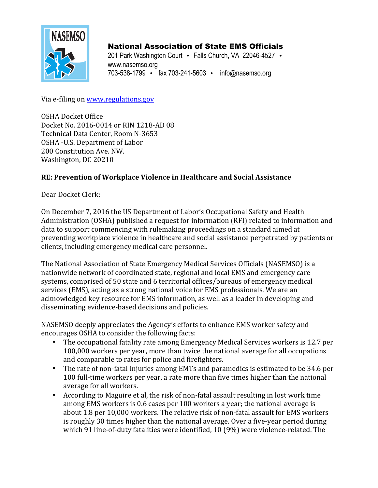

# National Association of State EMS Officials

201 Park Washington Court • Falls Church, VA 22046-4527 • www.nasemso.org 703-538-1799 • fax 703-241-5603 • info@nasemso.org

Via e-filing on www.regulations.gov

OSHA Docket Office Docket No. 2016-0014 or RIN 1218-AD 08 Technical Data Center, Room N-3653 OSHA -U.S. Department of Labor 200 Constitution Ave. NW. Washington, DC 20210

# **RE: Prevention of Workplace Violence in Healthcare and Social Assistance**

Dear Docket Clerk:

On December 7, 2016 the US Department of Labor's Occupational Safety and Health Administration (OSHA) published a request for information (RFI) related to information and data to support commencing with rulemaking proceedings on a standard aimed at preventing workplace violence in healthcare and social assistance perpetrated by patients or clients, including emergency medical care personnel.

The National Association of State Emergency Medical Services Officials (NASEMSO) is a nationwide network of coordinated state, regional and local EMS and emergency care systems, comprised of 50 state and 6 territorial offices/bureaus of emergency medical services (EMS), acting as a strong national voice for EMS professionals. We are an acknowledged key resource for EMS information, as well as a leader in developing and disseminating evidence-based decisions and policies.

NASEMSO deeply appreciates the Agency's efforts to enhance EMS worker safety and encourages OSHA to consider the following facts:

- The occupational fatality rate among Emergency Medical Services workers is 12.7 per 100,000 workers per year, more than twice the national average for all occupations and comparable to rates for police and firefighters.
- The rate of non-fatal injuries among EMTs and paramedics is estimated to be 34.6 per 100 full-time workers per year, a rate more than five times higher than the national average for all workers.
- According to Maguire et al, the risk of non-fatal assault resulting in lost work time among EMS workers is 0.6 cases per 100 workers a year; the national average is about 1.8 per 10,000 workers. The relative risk of non-fatal assault for EMS workers is roughly 30 times higher than the national average. Over a five-year period during which 91 line-of-duty fatalities were identified, 10 (9%) were violence-related. The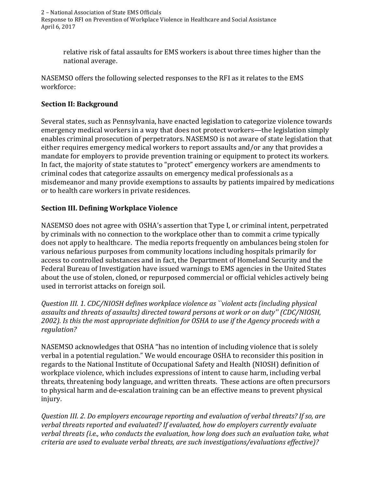relative risk of fatal assaults for EMS workers is about three times higher than the national average.

NASEMSO offers the following selected responses to the RFI as it relates to the EMS workforce:

## **Section II: Background**

Several states, such as Pennsylvania, have enacted legislation to categorize violence towards emergency medical workers in a way that does not protect workers—the legislation simply enables criminal prosecution of perpetrators. NASEMSO is not aware of state legislation that either requires emergency medical workers to report assaults and/or any that provides a mandate for employers to provide prevention training or equipment to protect its workers. In fact, the majority of state statutes to "protect" emergency workers are amendments to criminal codes that categorize assaults on emergency medical professionals as a misdemeanor and many provide exemptions to assaults by patients impaired by medications or to health care workers in private residences.

## **Section III. Defining Workplace Violence**

NASEMSO does not agree with OSHA's assertion that Type I, or criminal intent, perpetrated by criminals with no connection to the workplace other than to commit a crime typically does not apply to healthcare. The media reports frequently on ambulances being stolen for various nefarious purposes from community locations including hospitals primarily for access to controlled substances and in fact, the Department of Homeland Security and the Federal Bureau of Investigation have issued warnings to EMS agencies in the United States about the use of stolen, cloned, or repurposed commercial or official vehicles actively being used in terrorist attacks on foreign soil.

*Question III. 1. CDC/NIOSH defines workplace violence as ``violent acts (including physical* assaults and threats of assaults) directed toward persons at work or on duty" (CDC/NIOSH, 2002). Is this the most appropriate definition for OSHA to use if the Agency proceeds with a *regulation?*

NASEMSO acknowledges that OSHA "has no intention of including violence that is solely verbal in a potential regulation." We would encourage OSHA to reconsider this position in regards to the National Institute of Occupational Safety and Health (NIOSH) definition of workplace violence, which includes expressions of intent to cause harm, including verbal threats, threatening body language, and written threats. These actions are often precursors to physical harm and de-escalation training can be an effective means to prevent physical injury. 

*Question III. 2. Do employers encourage reporting and evaluation of verbal threats? If so, are*  verbal threats reported and evaluated? If evaluated, how do employers currently evaluate verbal threats (i.e., who conducts the evaluation, how long does such an evaluation take, what *criteria are used to evaluate verbal threats, are such investigations/evaluations effective)?*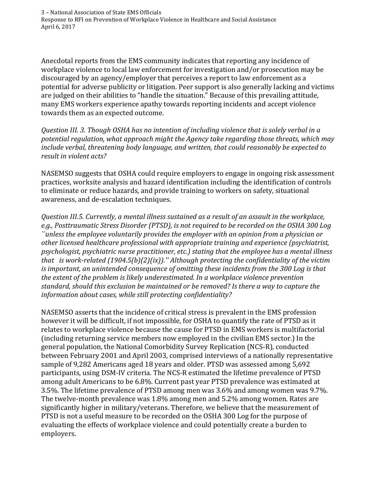Anecdotal reports from the EMS community indicates that reporting any incidence of workplace violence to local law enforcement for investigation and/or prosecution may be discouraged by an agency/employer that perceives a report to law enforcement as a potential for adverse publicity or litigation. Peer support is also generally lacking and victims are judged on their abilities to "handle the situation." Because of this prevailing attitude, many EMS workers experience apathy towards reporting incidents and accept violence towards them as an expected outcome.

*Question III. 3. Though OSHA has no intention of including violence that is solely verbal in a*  potential regulation, what approach might the Agency take regarding those threats, which may *include verbal, threatening body language, and written, that could reasonably be expected to result in violent acts?* 

NASEMSO suggests that OSHA could require employers to engage in ongoing risk assessment practices, worksite analysis and hazard identification including the identification of controls to eliminate or reduce hazards, and provide training to workers on safety, situational awareness, and de-escalation techniques.

*Question III.5. Currently, a mental illness sustained as a result of an assault in the workplace,*  e.g., Posttraumatic Stress Disorder (PTSD), is not required to be recorded on the OSHA 300 Log *`*'unless the employee voluntarily provides the employer with an opinion from a physician or other licensed healthcare professional with appropriate training and experience (psychiatrist, psychologist, psychiatric nurse practitioner, etc.) stating that the employee has a mental illness *that* is work-related  $(1904.5(b)(2)(ix))$ ." Although protecting the confidentiality of the victim *is* important, an unintended consequence of omitting these incidents from the 300 Log is that the extent of the problem is likely underestimated. In a workplace violence prevention standard, should this exclusion be maintained or be removed? Is there a way to capture the information about cases, while still protecting confidentiality?

NASEMSO asserts that the incidence of critical stress is prevalent in the EMS profession however it will be difficult, if not impossible, for OSHA to quantify the rate of PTSD as it relates to workplace violence because the cause for PTSD in EMS workers is multifactorial (including returning service members now employed in the civilian EMS sector.) In the general population, the National Comorbidity Survey Replication (NCS-R), conducted between February 2001 and April 2003, comprised interviews of a nationally representative sample of 9,282 Americans aged 18 years and older. PTSD was assessed among 5,692 participants, using DSM-IV criteria. The NCS-R estimated the lifetime prevalence of PTSD among adult Americans to be 6.8%. Current past year PTSD prevalence was estimated at 3.5%. The lifetime prevalence of PTSD among men was  $3.6\%$  and among women was  $9.7\%$ . The twelve-month prevalence was 1.8% among men and 5.2% among women. Rates are significantly higher in military/veterans. Therefore, we believe that the measurement of PTSD is not a useful measure to be recorded on the OSHA 300 Log for the purpose of evaluating the effects of workplace violence and could potentially create a burden to employers.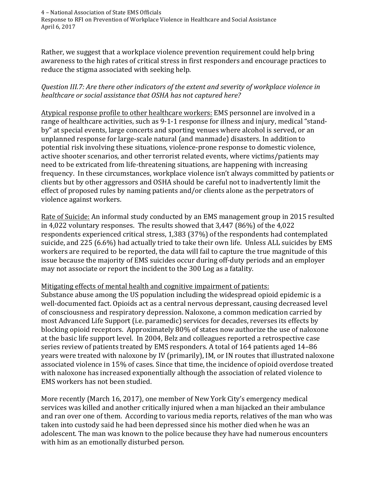Rather, we suggest that a workplace violence prevention requirement could help bring awareness to the high rates of critical stress in first responders and encourage practices to reduce the stigma associated with seeking help.

#### *Question III.7: Are there other indicators of the extent and severity of workplace violence in*  healthcare or social assistance that OSHA has not captured here?

Atypical response profile to other healthcare workers: EMS personnel are involved in a range of healthcare activities, such as 9-1-1 response for illness and injury, medical "standby" at special events, large concerts and sporting venues where alcohol is served, or an unplanned response for large-scale natural (and manmade) disasters. In addition to potential risk involving these situations, violence-prone response to domestic violence, active shooter scenarios, and other terrorist related events, where victims/patients may need to be extricated from life-threatening situations, are happening with increasing frequency. In these circumstances, workplace violence isn't always committed by patients or clients but by other aggressors and OSHA should be careful not to inadvertently limit the effect of proposed rules by naming patients and/or clients alone as the perpetrators of violence against workers.

Rate of Suicide: An informal study conducted by an EMS management group in 2015 resulted in  $4,022$  voluntary responses. The results showed that  $3,447$  (86%) of the  $4,022$ respondents experienced critical stress, 1,383 (37%) of the respondents had contemplated suicide, and 225 (6.6%) had actually tried to take their own life. Unless ALL suicides by EMS workers are required to be reported, the data will fail to capture the true magnitude of this issue because the majority of EMS suicides occur during off-duty periods and an employer may not associate or report the incident to the 300 Log as a fatality.

#### Mitigating effects of mental health and cognitive impairment of patients:

Substance abuse among the US population including the widespread opioid epidemic is a well-documented fact. Opioids act as a central nervous depressant, causing decreased level of consciousness and respiratory depression. Naloxone, a common medication carried by most Advanced Life Support (i.e. paramedic) services for decades, reverses its effects by blocking opioid receptors. Approximately 80% of states now authorize the use of naloxone at the basic life support level. In 2004, Belz and colleagues reported a retrospective case series review of patients treated by EMS responders. A total of 164 patients aged 14-86 years were treated with naloxone by IV (primarily), IM, or IN routes that illustrated naloxone associated violence in 15% of cases. Since that time, the incidence of opioid overdose treated with naloxone has increased exponentially although the association of related violence to EMS workers has not been studied.

More recently (March 16, 2017), one member of New York City's emergency medical services was killed and another critically injured when a man hijacked an their ambulance and ran over one of them. According to various media reports, relatives of the man who was taken into custody said he had been depressed since his mother died when he was an adolescent. The man was known to the police because they have had numerous encounters with him as an emotionally disturbed person.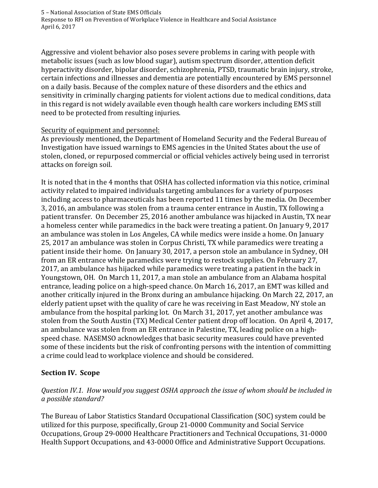Aggressive and violent behavior also poses severe problems in caring with people with metabolic issues (such as low blood sugar), autism spectrum disorder, attention deficit hyperactivity disorder, bipolar disorder, schizophrenia, PTSD, traumatic brain injury, stroke, certain infections and illnesses and dementia are potentially encountered by EMS personnel on a daily basis. Because of the complex nature of these disorders and the ethics and sensitivity in criminally charging patients for violent actions due to medical conditions, data in this regard is not widely available even though health care workers including EMS still need to be protected from resulting injuries.

## Security of equipment and personnel:

As previously mentioned, the Department of Homeland Security and the Federal Bureau of Investigation have issued warnings to EMS agencies in the United States about the use of stolen, cloned, or repurposed commercial or official vehicles actively being used in terrorist attacks on foreign soil.

It is noted that in the 4 months that OSHA has collected information via this notice, criminal activity related to impaired individuals targeting ambulances for a variety of purposes including access to pharmaceuticals has been reported 11 times by the media. On December 3, 2016, an ambulance was stolen from a trauma center entrance in Austin, TX following a patient transfer. On December 25, 2016 another ambulance was hijacked in Austin, TX near a homeless center while paramedics in the back were treating a patient. On January 9, 2017 an ambulance was stolen in Los Angeles, CA while medics were inside a home. On January 25, 2017 an ambulance was stolen in Corpus Christi, TX while paramedics were treating a patient inside their home. On January 30, 2017, a person stole an ambulance in Sydney, OH from an ER entrance while paramedics were trying to restock supplies. On February 27, 2017, an ambulance has hijacked while paramedics were treating a patient in the back in Youngstown, OH. On March 11, 2017, a man stole an ambulance from an Alabama hospital entrance, leading police on a high-speed chance. On March 16, 2017, an EMT was killed and another critically injured in the Bronx during an ambulance hijacking. On March 22, 2017, an elderly patient upset with the quality of care he was receiving in East Meadow, NY stole an ambulance from the hospital parking lot. On March 31, 2017, yet another ambulance was stolen from the South Austin (TX) Medical Center patient drop off location. On April 4, 2017, an ambulance was stolen from an ER entrance in Palestine, TX, leading police on a highspeed chase. NASEMSO acknowledges that basic security measures could have prevented some of these incidents but the risk of confronting persons with the intention of committing a crime could lead to workplace violence and should be considered.

# **Section IV. Scope**

## Question IV.1. How would you suggest OSHA approach the issue of whom should be included in *a possible standard?*

The Bureau of Labor Statistics Standard Occupational Classification (SOC) system could be utilized for this purpose, specifically, Group 21-0000 Community and Social Service Occupations, Group 29-0000 Healthcare Practitioners and Technical Occupations, 31-0000 Health Support Occupations, and 43-0000 Office and Administrative Support Occupations.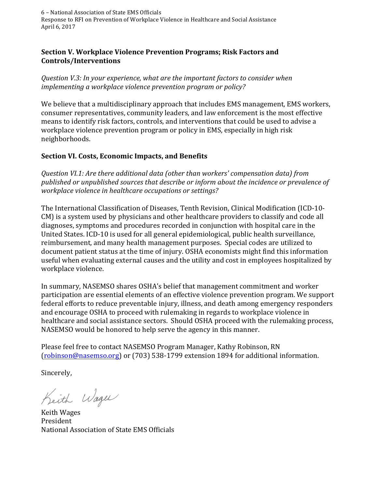## **Section V. Workplace Violence Prevention Programs; Risk Factors and Controls/Interventions**

Question V.3: In your experience, what are the important factors to consider when *implementing a workplace violence prevention program or policy?* 

We believe that a multidisciplinary approach that includes EMS management, EMS workers, consumer representatives, community leaders, and law enforcement is the most effective means to identify risk factors, controls, and interventions that could be used to advise a workplace violence prevention program or policy in EMS, especially in high risk neighborhoods.

## **Section VI. Costs, Economic Impacts, and Benefits**

*Question VI.1: Are there additional data (other than workers' compensation data) from*  published or unpublished sources that describe or inform about the incidence or prevalence of *workplace violence in healthcare occupations or settings?*

The International Classification of Diseases, Tenth Revision, Clinical Modification (ICD-10-CM) is a system used by physicians and other healthcare providers to classify and code all diagnoses, symptoms and procedures recorded in conjunction with hospital care in the United States. ICD-10 is used for all general epidemiological, public health surveillance, reimbursement, and many health management purposes. Special codes are utilized to document patient status at the time of injury. OSHA economists might find this information useful when evaluating external causes and the utility and cost in employees hospitalized by workplace violence.

In summary, NASEMSO shares OSHA's belief that management commitment and worker participation are essential elements of an effective violence prevention program. We support federal efforts to reduce preventable injury, illness, and death among emergency responders and encourage OSHA to proceed with rulemaking in regards to workplace violence in healthcare and social assistance sectors. Should OSHA proceed with the rulemaking process, NASEMSO would be honored to help serve the agency in this manner.

Please feel free to contact NASEMSO Program Manager, Kathy Robinson, RN  $(robinson@nasemos.org)$  or  $(703)$  538-1799 extension 1894 for additional information.

Sincerely,

Keith Wages

**Keith Wages** President National Association of State EMS Officials